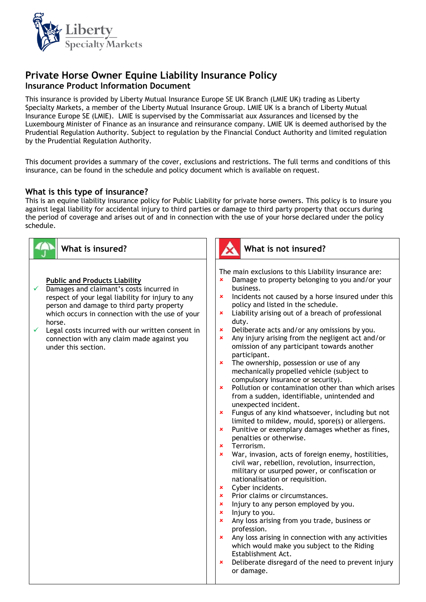

# **Private Horse Owner Equine Liability Insurance Policy Insurance Product Information Document**

This insurance is provided by Liberty Mutual Insurance Europe SE UK Branch (LMIE UK) trading as Liberty Specialty Markets, a member of the Liberty Mutual Insurance Group. LMIE UK is a branch of Liberty Mutual Insurance Europe SE (LMIE). LMIE is supervised by the Commissariat aux Assurances and licensed by the Luxembourg Minister of Finance as an insurance and reinsurance company. LMIE UK is deemed authorised by the Prudential Regulation Authority. Subject to regulation by the Financial Conduct Authority and limited regulation by the Prudential Regulation Authority.

This document provides a summary of the cover, exclusions and restrictions. The full terms and conditions of this insurance, can be found in the schedule and policy document which is available on request.

### **What is this type of insurance?**

This is an equine liability insurance policy for Public Liability for private horse owners. This policy is to insure you against legal liability for accidental injury to third parties or damage to third party property that occurs during the period of coverage and arises out of and in connection with the use of your horse declared under the policy schedule.

| What is insured?                                                                                                                                                                                                                                                                                                                                                              | What is not insured?                                                                                                                                                                                                                                                                                                                                                                                                                                                                                                                                                                                                                                                                                                                                                                                                                                                                                                                                                                                                                                                                                                                                                                                                                                                                                                                                                                                                                                                                                                                                                                                                                                                                                                                                                                 |
|-------------------------------------------------------------------------------------------------------------------------------------------------------------------------------------------------------------------------------------------------------------------------------------------------------------------------------------------------------------------------------|--------------------------------------------------------------------------------------------------------------------------------------------------------------------------------------------------------------------------------------------------------------------------------------------------------------------------------------------------------------------------------------------------------------------------------------------------------------------------------------------------------------------------------------------------------------------------------------------------------------------------------------------------------------------------------------------------------------------------------------------------------------------------------------------------------------------------------------------------------------------------------------------------------------------------------------------------------------------------------------------------------------------------------------------------------------------------------------------------------------------------------------------------------------------------------------------------------------------------------------------------------------------------------------------------------------------------------------------------------------------------------------------------------------------------------------------------------------------------------------------------------------------------------------------------------------------------------------------------------------------------------------------------------------------------------------------------------------------------------------------------------------------------------------|
| <b>Public and Products Liability</b><br>Damages and claimant's costs incurred in<br>respect of your legal liability for injury to any<br>person and damage to third party property<br>which occurs in connection with the use of your<br>horse.<br>✓<br>Legal costs incurred with our written consent in<br>connection with any claim made against you<br>under this section. | The main exclusions to this Liability insurance are:<br>Damage to property belonging to you and/or your<br>business.<br>Incidents not caused by a horse insured under this<br>$\mathbf x$<br>policy and listed in the schedule.<br>Liability arising out of a breach of professional<br>$\pmb{\times}$<br>duty.<br>Deliberate acts and/or any omissions by you.<br>$\pmb{\times}$<br>Any injury arising from the negligent act and/or<br>$\pmb{\times}$<br>omission of any participant towards another<br>participant.<br>The ownership, possession or use of any<br>$\mathbf x$<br>mechanically propelled vehicle (subject to<br>compulsory insurance or security).<br>Pollution or contamination other than which arises<br>$\mathbf x$<br>from a sudden, identifiable, unintended and<br>unexpected incident.<br>Fungus of any kind whatsoever, including but not<br>$\pmb{\times}$<br>limited to mildew, mould, spore(s) or allergens.<br>Punitive or exemplary damages whether as fines,<br>$\mathbf x$<br>penalties or otherwise.<br>Terrorism.<br>$\mathbf{x}$<br>War, invasion, acts of foreign enemy, hostilities,<br>$\mathbf x$<br>civil war, rebellion, revolution, insurrection,<br>military or usurped power, or confiscation or<br>nationalisation or requisition.<br>Cyber incidents.<br>$\pmb{\times}$<br><b>*</b> Prior claims or circumstances.<br>Injury to any person employed by you.<br>$\pmb{\times}$<br>Injury to you.<br>$\pmb{\times}$<br>Any loss arising from you trade, business or<br>$\pmb{\times}$<br>profession.<br>Any loss arising in connection with any activities<br>$\pmb{\times}$<br>which would make you subject to the Riding<br>Establishment Act.<br>Deliberate disregard of the need to prevent injury<br>$\pmb{\times}$<br>or damage. |